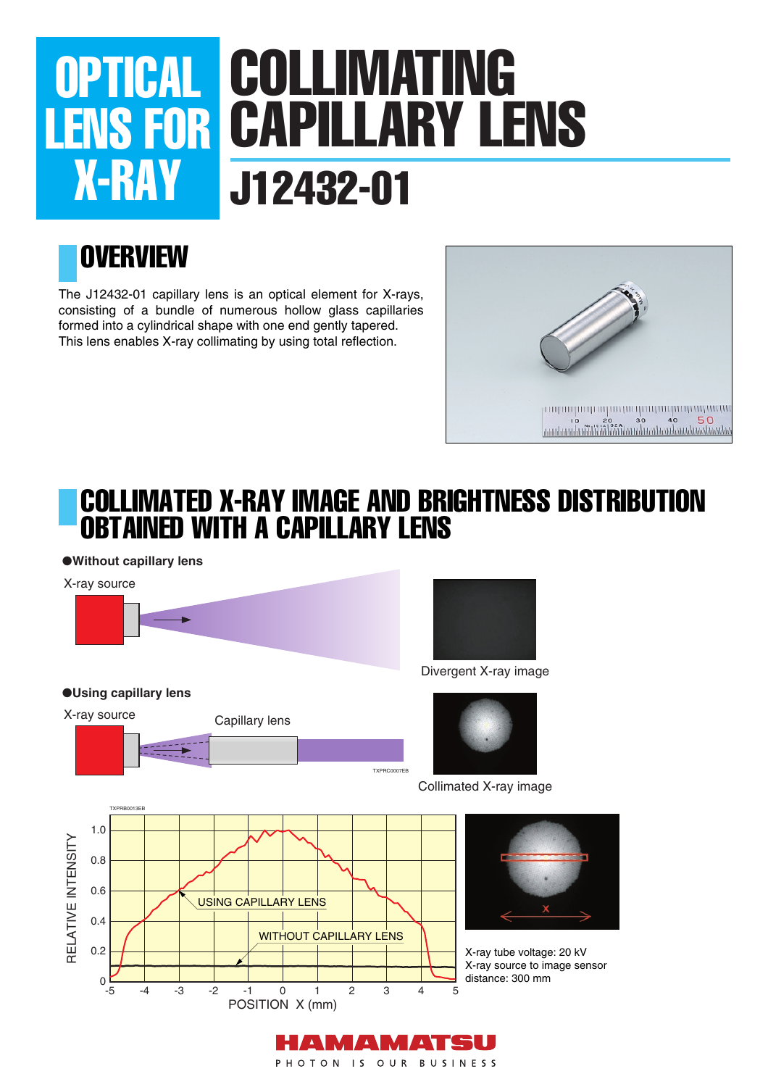# COLLIMATING LENS FOR CAPILLARY LENS J12432-01 **OPTICAL** X-RAY

# **OVERVIEW**

The J12432-01 capillary lens is an optical element for X-rays, consisting of a bundle of numerous hollow glass capillaries formed into a cylindrical shape with one end gently tapered. This lens enables X-ray collimating by using total reflection.



## COLLIMATED X-RAY IMAGE AND BRIGHTNESS DISTRIBUTION OBTAINED WITH A CAPILLARY LENS

●**Without capillary lens**

X-ray source







X-ray tube voltage: 20 kV X-ray source to image sensor distance: 300 mm



PHOTON IS OUR BUSINESS